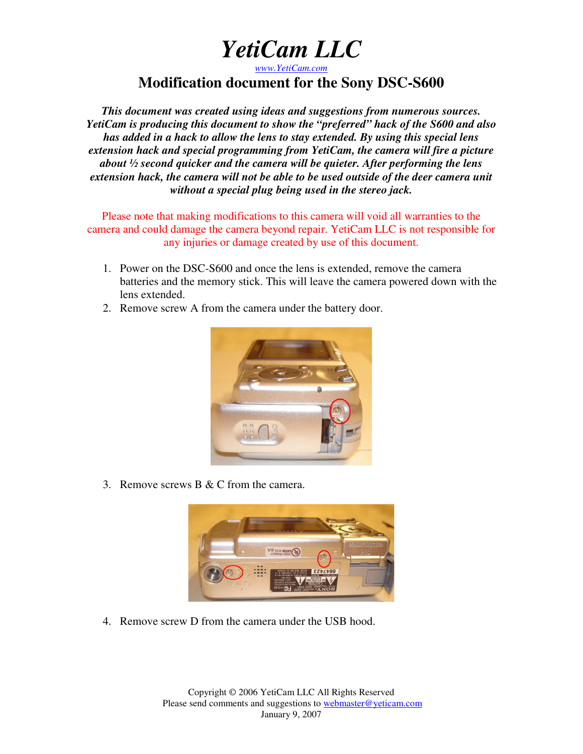*www.YetiCam.com*

#### **Modification document for the Sony DSC-S600**

*This document was created using ideas and suggestions from numerous sources. YetiCam is producing this document to show the "preferred" hack of the S600 and also has added in a hack to allow the lens to stay extended. By using this special lens extension hack and special programming from YetiCam, the camera will fire a picture about ½ second quicker and the camera will be quieter. After performing the lens extension hack, the camera will not be able to be used outside of the deer camera unit without a special plug being used in the stereo jack.*

Please note that making modifications to this camera will void all warranties to the camera and could damage the camera beyond repair. YetiCam LLC is not responsible for any injuries or damage created by use of this document.

- 1. Power on the DSC-S600 and once the lens is extended, remove the camera batteries and the memory stick. This will leave the camera powered down with the lens extended.
- 2. Remove screw A from the camera under the battery door.



3. Remove screws B & C from the camera.



4. Remove screw D from the camera under the USB hood.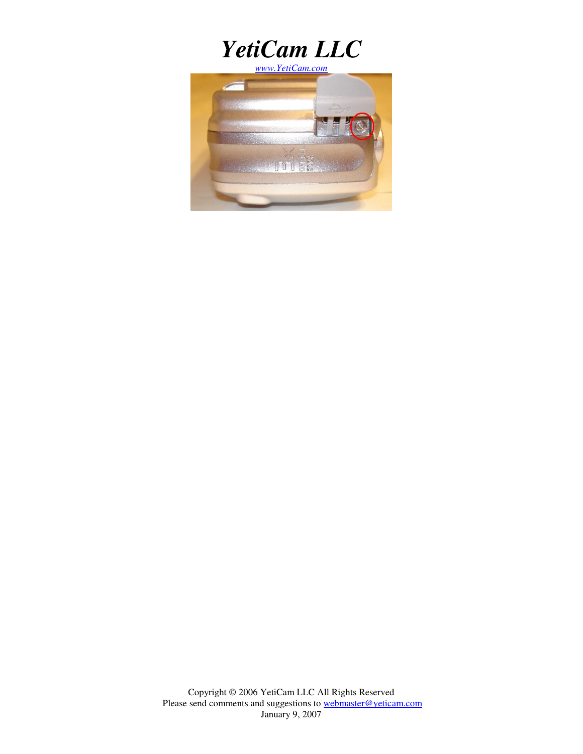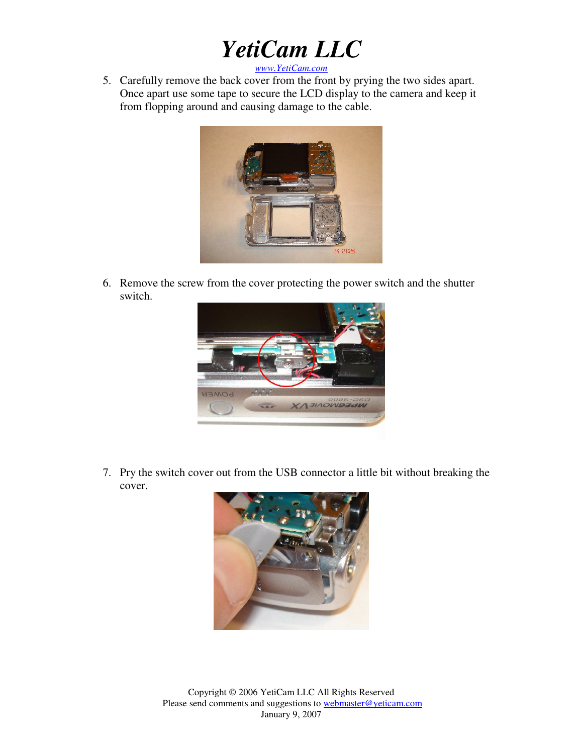*www.YetiCam.com*

5. Carefully remove the back cover from the front by prying the two sides apart. Once apart use some tape to secure the LCD display to the camera and keep it from flopping around and causing damage to the cable.



6. Remove the screw from the cover protecting the power switch and the shutter switch.



7. Pry the switch cover out from the USB connector a little bit without breaking the cover.

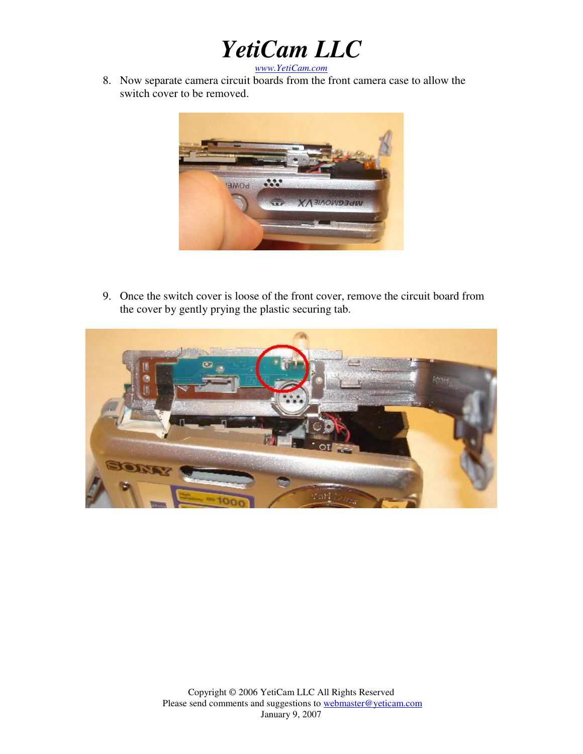*www.YetiCam.com*

8. Now separate camera circuit boards from the front camera case to allow the switch cover to be removed.



9. Once the switch cover is loose of the front cover, remove the circuit board from the cover by gently prying the plastic securing tab.

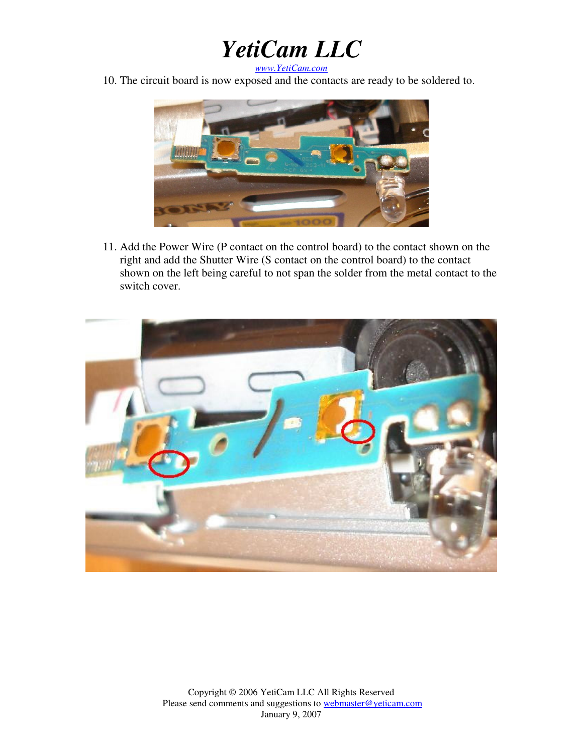*www.YetiCam.com*

10. The circuit board is now exposed and the contacts are ready to be soldered to.



11. Add the Power Wire (P contact on the control board) to the contact shown on the right and add the Shutter Wire (S contact on the control board) to the contact shown on the left being careful to not span the solder from the metal contact to the switch cover.

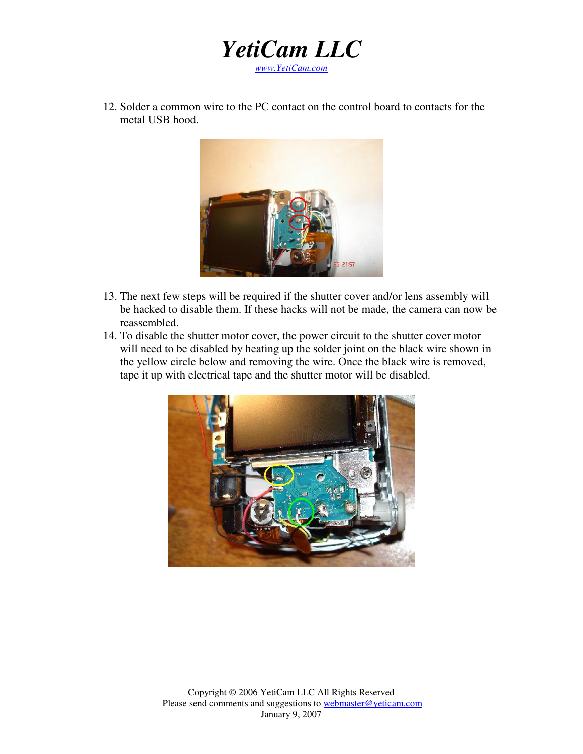

12. Solder a common wire to the PC contact on the control board to contacts for the metal USB hood.



- 13. The next few steps will be required if the shutter cover and/or lens assembly will be hacked to disable them. If these hacks will not be made, the camera can now be reassembled.
- 14. To disable the shutter motor cover, the power circuit to the shutter cover motor will need to be disabled by heating up the solder joint on the black wire shown in the yellow circle below and removing the wire. Once the black wire is removed, tape it up with electrical tape and the shutter motor will be disabled.

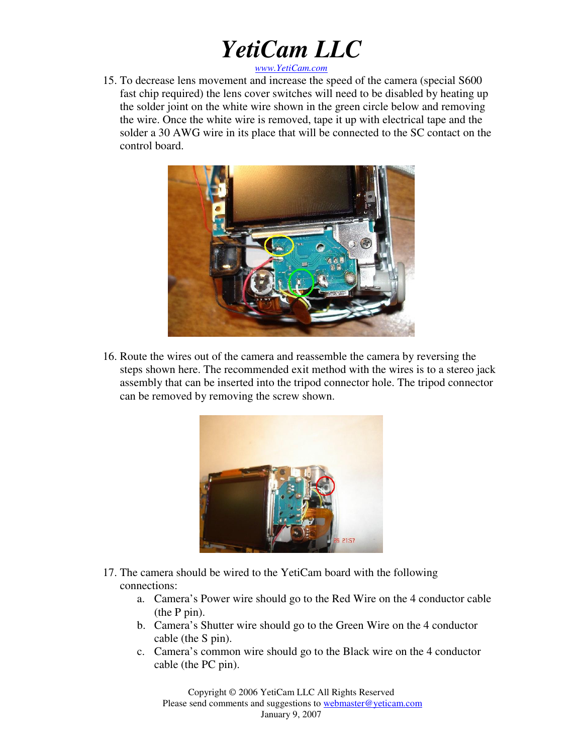*www.YetiCam.com*

15. To decrease lens movement and increase the speed of the camera (special S600 fast chip required) the lens cover switches will need to be disabled by heating up the solder joint on the white wire shown in the green circle below and removing the wire. Once the white wire is removed, tape it up with electrical tape and the solder a 30 AWG wire in its place that will be connected to the SC contact on the control board.



16. Route the wires out of the camera and reassemble the camera by reversing the steps shown here. The recommended exit method with the wires is to a stereo jack assembly that can be inserted into the tripod connector hole. The tripod connector can be removed by removing the screw shown.



- 17. The camera should be wired to the YetiCam board with the following connections:
	- a. Camera's Power wire should go to the Red Wire on the 4 conductor cable (the P pin).
	- b. Camera's Shutter wire should go to the Green Wire on the 4 conductor cable (the S pin).
	- c. Camera's common wire should go to the Black wire on the 4 conductor cable (the PC pin).

Copyright © 2006 YetiCam LLC All Rights Reserved Please send comments and suggestions to webmaster@yeticam.com January 9, 2007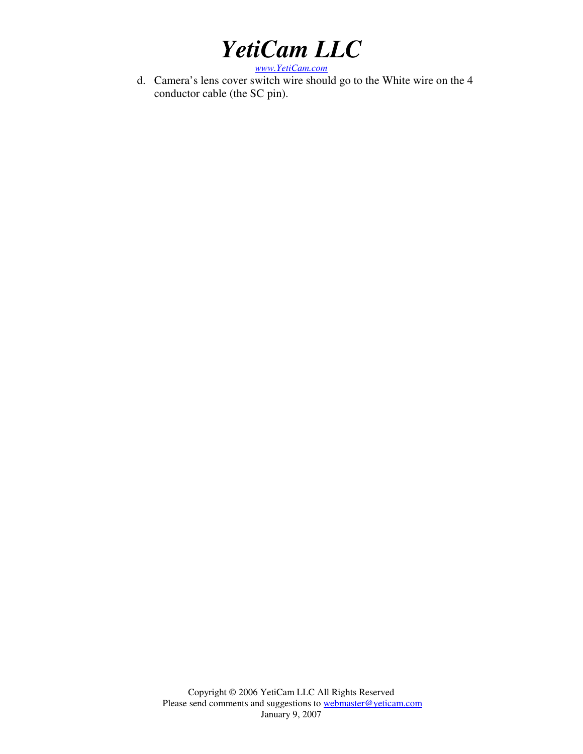*www.YetiCam.com*

d. Camera's lens cover switch wire should go to the White wire on the 4 conductor cable (the SC pin).